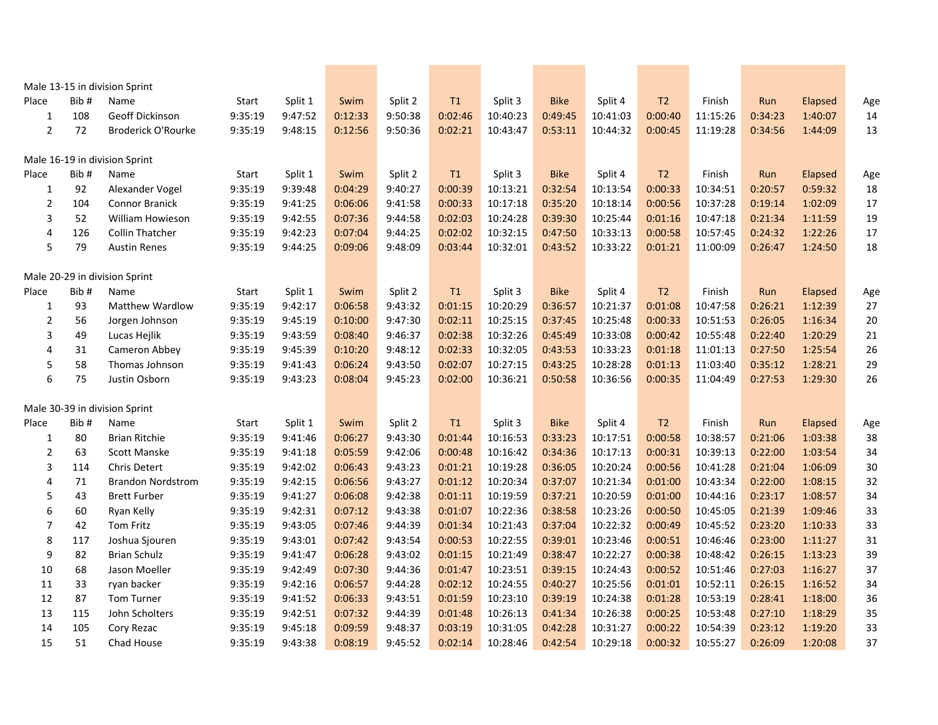|                         |      | Male 13-15 in division Sprint |         |         |         |         |         |          |             |          |                |          |         |         |        |
|-------------------------|------|-------------------------------|---------|---------|---------|---------|---------|----------|-------------|----------|----------------|----------|---------|---------|--------|
| Place                   | Bib# | Name                          | Start   | Split 1 | Swim    | Split 2 | T1      | Split 3  | <b>Bike</b> | Split 4  | T <sub>2</sub> | Finish   | Run     | Elapsed | Age    |
| $\mathbf 1$             | 108  | <b>Geoff Dickinson</b>        | 9:35:19 | 9:47:52 | 0:12:33 | 9:50:38 | 0:02:46 | 10:40:23 | 0:49:45     | 10:41:03 | 0:00:40        | 11:15:26 | 0:34:23 | 1:40:07 | 14     |
| $\overline{2}$          | 72   | Broderick O'Rourke            | 9:35:19 | 9:48:15 | 0:12:56 | 9:50:36 | 0:02:21 | 10:43:47 | 0:53:11     | 10:44:32 | 0:00:45        | 11:19:28 | 0:34:56 | 1:44:09 | 13     |
|                         |      | Male 16-19 in division Sprint |         |         |         |         |         |          |             |          |                |          |         |         |        |
| Place                   | Bib# | Name                          | Start   | Split 1 | Swim    | Split 2 | T1      | Split 3  | <b>Bike</b> | Split 4  | T <sub>2</sub> | Finish   | Run     | Elapsed | Age    |
| $\mathbf{1}$            | 92   | Alexander Vogel               | 9:35:19 | 9:39:48 | 0:04:29 | 9:40:27 | 0:00:39 | 10:13:21 | 0:32:54     | 10:13:54 | 0:00:33        | 10:34:51 | 0:20:57 | 0:59:32 | 18     |
| $\overline{\mathbf{c}}$ | 104  | Connor Branick                | 9:35:19 | 9:41:25 | 0:06:06 | 9:41:58 | 0:00:33 | 10:17:18 | 0:35:20     | 10:18:14 | 0:00:56        | 10:37:28 | 0:19:14 | 1:02:09 | 17     |
| 3                       | 52   | William Howieson              | 9:35:19 | 9:42:55 | 0:07:36 | 9:44:58 | 0:02:03 | 10:24:28 | 0:39:30     | 10:25:44 | 0:01:16        | 10:47:18 | 0:21:34 | 1:11:59 | 19     |
| 4                       | 126  | <b>Collin Thatcher</b>        | 9:35:19 | 9:42:23 | 0:07:04 | 9:44:25 | 0:02:02 | 10:32:15 | 0:47:50     | 10:33:13 | 0:00:58        | 10:57:45 | 0:24:32 | 1:22:26 | 17     |
| 5                       | 79   | <b>Austin Renes</b>           | 9:35:19 | 9:44:25 | 0:09:06 | 9:48:09 | 0:03:44 | 10:32:01 | 0:43:52     | 10:33:22 | 0:01:21        | 11:00:09 | 0:26:47 | 1:24:50 | 18     |
|                         |      | Male 20-29 in division Sprint |         |         |         |         |         |          |             |          |                |          |         |         |        |
| Place                   | Bib# | Name                          | Start   | Split 1 | Swim    | Split 2 | T1      | Split 3  | <b>Bike</b> | Split 4  | T <sub>2</sub> | Finish   | Run     | Elapsed | Age    |
| $\mathbf 1$             | 93   | <b>Matthew Wardlow</b>        | 9:35:19 | 9:42:17 | 0:06:58 | 9:43:32 | 0:01:15 | 10:20:29 | 0:36:57     | 10:21:37 | 0:01:08        | 10:47:58 | 0:26:21 | 1:12:39 | 27     |
| $\mathbf 2$             | 56   | Jorgen Johnson                | 9:35:19 | 9:45:19 | 0:10:00 | 9:47:30 | 0:02:11 | 10:25:15 | 0:37:45     | 10:25:48 | 0:00:33        | 10:51:53 | 0:26:05 | 1:16:34 | 20     |
| 3                       | 49   | Lucas Hejlik                  | 9:35:19 | 9:43:59 | 0:08:40 | 9:46:37 | 0:02:38 | 10:32:26 | 0:45:49     | 10:33:08 | 0:00:42        | 10:55:48 | 0:22:40 | 1:20:29 | 21     |
| 4                       | 31   | Cameron Abbey                 | 9:35:19 | 9:45:39 | 0:10:20 | 9:48:12 | 0:02:33 | 10:32:05 | 0:43:53     | 10:33:23 | 0:01:18        | 11:01:13 | 0:27:50 | 1:25:54 | 26     |
| 5                       | 58   | Thomas Johnson                | 9:35:19 | 9:41:43 | 0:06:24 | 9:43:50 | 0:02:07 | 10:27:15 | 0:43:25     | 10:28:28 | 0:01:13        | 11:03:40 | 0:35:12 | 1:28:21 | 29     |
| 6                       | 75   | Justin Osborn                 | 9:35:19 | 9:43:23 | 0:08:04 | 9:45:23 | 0:02:00 | 10:36:21 | 0:50:58     | 10:36:56 | 0:00:35        | 11:04:49 | 0:27:53 | 1:29:30 | 26     |
|                         |      | Male 30-39 in division Sprint |         |         |         |         |         |          |             |          |                |          |         |         |        |
| Place                   | Bib# | Name                          | Start   | Split 1 | Swim    | Split 2 | T1      | Split 3  | <b>Bike</b> | Split 4  | T <sub>2</sub> | Finish   | Run     | Elapsed | Age    |
| $\mathbf 1$             | 80   | <b>Brian Ritchie</b>          | 9:35:19 | 9:41:46 | 0:06:27 | 9:43:30 | 0:01:44 | 10:16:53 | 0:33:23     | 10:17:51 | 0:00:58        | 10:38:57 | 0:21:06 | 1:03:38 | 38     |
| $\overline{2}$          | 63   | <b>Scott Manske</b>           | 9:35:19 | 9:41:18 | 0:05:59 | 9:42:06 | 0:00:48 | 10:16:42 | 0:34:36     | 10:17:13 | 0:00:31        | 10:39:13 | 0:22:00 | 1:03:54 | 34     |
| 3                       | 114  | Chris Detert                  | 9:35:19 | 9:42:02 | 0:06:43 | 9:43:23 | 0:01:21 | 10:19:28 | 0:36:05     | 10:20:24 | 0:00:56        | 10:41:28 | 0:21:04 | 1:06:09 | $30\,$ |
| 4                       | 71   | <b>Brandon Nordstrom</b>      | 9:35:19 | 9:42:15 | 0:06:56 | 9:43:27 | 0:01:12 | 10:20:34 | 0:37:07     | 10:21:34 | 0:01:00        | 10:43:34 | 0:22:00 | 1:08:15 | 32     |
| 5                       | 43   | <b>Brett Furber</b>           | 9:35:19 | 9:41:27 | 0:06:08 | 9:42:38 | 0:01:11 | 10:19:59 | 0:37:21     | 10:20:59 | 0:01:00        | 10:44:16 | 0:23:17 | 1:08:57 | 34     |
| 6                       | 60   | Ryan Kelly                    | 9:35:19 | 9:42:31 | 0:07:12 | 9:43:38 | 0:01:07 | 10:22:36 | 0:38:58     | 10:23:26 | 0:00:50        | 10:45:05 | 0:21:39 | 1:09:46 | 33     |
| 7                       | 42   | <b>Tom Fritz</b>              | 9:35:19 | 9:43:05 | 0:07:46 | 9:44:39 | 0:01:34 | 10:21:43 | 0:37:04     | 10:22:32 | 0:00:49        | 10:45:52 | 0:23:20 | 1:10:33 | 33     |
| 8                       | 117  | Joshua Sjouren                | 9:35:19 | 9:43:01 | 0:07:42 | 9:43:54 | 0:00:53 | 10:22:55 | 0:39:01     | 10:23:46 | 0:00:51        | 10:46:46 | 0:23:00 | 1:11:27 | 31     |
| 9                       | 82   | <b>Brian Schulz</b>           | 9:35:19 | 9:41:47 | 0:06:28 | 9:43:02 | 0:01:15 | 10:21:49 | 0:38:47     | 10:22:27 | 0:00:38        | 10:48:42 | 0:26:15 | 1:13:23 | 39     |
| 10                      | 68   | Jason Moeller                 | 9:35:19 | 9:42:49 | 0:07:30 | 9:44:36 | 0:01:47 | 10:23:51 | 0:39:15     | 10:24:43 | 0:00:52        | 10:51:46 | 0:27:03 | 1:16:27 | 37     |
| 11                      | 33   | ryan backer                   | 9:35:19 | 9:42:16 | 0:06:57 | 9:44:28 | 0:02:12 | 10:24:55 | 0:40:27     | 10:25:56 | 0:01:01        | 10:52:11 | 0:26:15 | 1:16:52 | 34     |
| 12                      | 87   | Tom Turner                    | 9:35:19 | 9:41:52 | 0:06:33 | 9:43:51 | 0:01:59 | 10:23:10 | 0:39:19     | 10:24:38 | 0:01:28        | 10:53:19 | 0:28:41 | 1:18:00 | 36     |
| 13                      | 115  | John Scholters                | 9:35:19 | 9:42:51 | 0:07:32 | 9:44:39 | 0:01:48 | 10:26:13 | 0:41:34     | 10:26:38 | 0:00:25        | 10:53:48 | 0:27:10 | 1:18:29 | 35     |
| 14                      | 105  | Cory Rezac                    | 9:35:19 | 9:45:18 | 0:09:59 | 9:48:37 | 0:03:19 | 10:31:05 | 0:42:28     | 10:31:27 | 0:00:22        | 10:54:39 | 0:23:12 | 1:19:20 | 33     |
| 15                      | 51   | Chad House                    | 9:35:19 | 9:43:38 | 0:08:19 | 9:45:52 | 0:02:14 | 10:28:46 | 0:42:54     | 10:29:18 | 0:00:32        | 10:55:27 | 0:26:09 | 1:20:08 | 37     |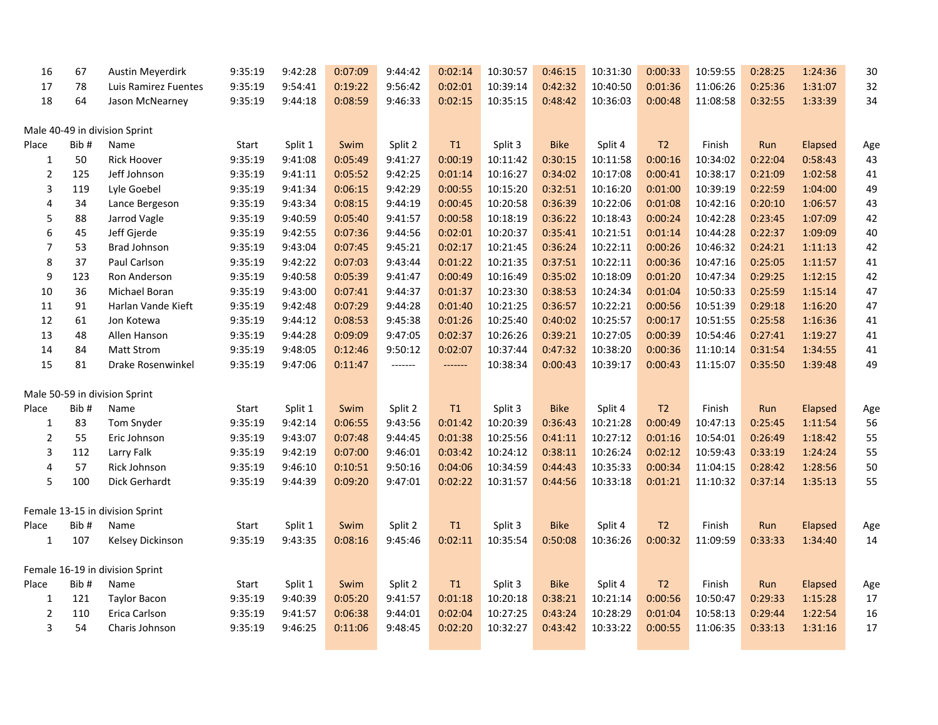| 16             | 67   | Austin Meyerdirk                | 9:35:19 | 9:42:28 | 0:07:09 | 9:44:42 | 0:02:14 | 10:30:57 | 0:46:15     | 10:31:30 | 0:00:33        | 10:59:55 | 0:28:25 | 1:24:36        | 30     |
|----------------|------|---------------------------------|---------|---------|---------|---------|---------|----------|-------------|----------|----------------|----------|---------|----------------|--------|
| 17             | 78   | Luis Ramirez Fuentes            | 9:35:19 | 9:54:41 | 0:19:22 | 9:56:42 | 0:02:01 | 10:39:14 | 0:42:32     | 10:40:50 | 0:01:36        | 11:06:26 | 0:25:36 | 1:31:07        | 32     |
| 18             | 64   | Jason McNearney                 | 9:35:19 | 9:44:18 | 0:08:59 | 9:46:33 | 0:02:15 | 10:35:15 | 0:48:42     | 10:36:03 | 0:00:48        | 11:08:58 | 0:32:55 | 1:33:39        | 34     |
|                |      | Male 40-49 in division Sprint   |         |         |         |         |         |          |             |          |                |          |         |                |        |
| Place          | Bib# | Name                            | Start   | Split 1 | Swim    | Split 2 | T1      | Split 3  | <b>Bike</b> | Split 4  | T <sub>2</sub> | Finish   | Run     | Elapsed        | Age    |
| $\mathbf{1}$   | 50   | <b>Rick Hoover</b>              | 9:35:19 | 9:41:08 | 0:05:49 | 9:41:27 | 0:00:19 | 10:11:42 | 0:30:15     | 10:11:58 | 0:00:16        | 10:34:02 | 0:22:04 | 0:58:43        | 43     |
| $\overline{2}$ | 125  | Jeff Johnson                    | 9:35:19 | 9:41:11 | 0:05:52 | 9:42:25 | 0:01:14 | 10:16:27 | 0:34:02     | 10:17:08 | 0:00:41        | 10:38:17 | 0:21:09 | 1:02:58        | 41     |
| 3              | 119  | Lyle Goebel                     | 9:35:19 | 9:41:34 | 0:06:15 | 9:42:29 | 0:00:55 | 10:15:20 | 0:32:51     | 10:16:20 | 0:01:00        | 10:39:19 | 0:22:59 | 1:04:00        | 49     |
| 4              | 34   | Lance Bergeson                  | 9:35:19 | 9:43:34 | 0:08:15 | 9:44:19 | 0:00:45 | 10:20:58 | 0:36:39     | 10:22:06 | 0:01:08        | 10:42:16 | 0:20:10 | 1:06:57        | 43     |
| 5              | 88   | Jarrod Vagle                    | 9:35:19 | 9:40:59 | 0:05:40 | 9:41:57 | 0:00:58 | 10:18:19 | 0:36:22     | 10:18:43 | 0:00:24        | 10:42:28 | 0:23:45 | 1:07:09        | 42     |
| 6              | 45   | Jeff Gjerde                     | 9:35:19 | 9:42:55 | 0:07:36 | 9:44:56 | 0:02:01 | 10:20:37 | 0:35:41     | 10:21:51 | 0:01:14        | 10:44:28 | 0:22:37 | 1:09:09        | $40\,$ |
| $\overline{7}$ | 53   | Brad Johnson                    | 9:35:19 | 9:43:04 | 0:07:45 | 9:45:21 | 0:02:17 | 10:21:45 | 0:36:24     | 10:22:11 | 0:00:26        | 10:46:32 | 0:24:21 | 1:11:13        | 42     |
| 8              | 37   | Paul Carlson                    | 9:35:19 | 9:42:22 | 0:07:03 | 9:43:44 | 0:01:22 | 10:21:35 | 0:37:51     | 10:22:11 | 0:00:36        | 10:47:16 | 0:25:05 | 1:11:57        | 41     |
| 9              | 123  | Ron Anderson                    | 9:35:19 | 9:40:58 | 0:05:39 | 9:41:47 | 0:00:49 | 10:16:49 | 0:35:02     | 10:18:09 | 0:01:20        | 10:47:34 | 0:29:25 | 1:12:15        | 42     |
| 10             | 36   | Michael Boran                   | 9:35:19 | 9:43:00 | 0:07:41 | 9:44:37 | 0:01:37 | 10:23:30 | 0:38:53     | 10:24:34 | 0:01:04        | 10:50:33 | 0:25:59 | 1:15:14        | 47     |
| 11             | 91   | Harlan Vande Kieft              | 9:35:19 | 9:42:48 | 0:07:29 | 9:44:28 | 0:01:40 | 10:21:25 | 0:36:57     | 10:22:21 | 0:00:56        | 10:51:39 | 0:29:18 | 1:16:20        | 47     |
| 12             | 61   | Jon Kotewa                      | 9:35:19 | 9:44:12 | 0:08:53 | 9:45:38 | 0:01:26 | 10:25:40 | 0:40:02     | 10:25:57 | 0:00:17        | 10:51:55 | 0:25:58 | 1:16:36        | 41     |
| 13             | 48   | Allen Hanson                    | 9:35:19 | 9:44:28 | 0:09:09 | 9:47:05 | 0:02:37 | 10:26:26 | 0:39:21     | 10:27:05 | 0:00:39        | 10:54:46 | 0:27:41 | 1:19:27        | 41     |
| 14             | 84   | <b>Matt Strom</b>               | 9:35:19 | 9:48:05 | 0:12:46 | 9:50:12 | 0:02:07 | 10:37:44 | 0:47:32     | 10:38:20 | 0:00:36        | 11:10:14 | 0:31:54 | 1:34:55        | 41     |
| 15             | 81   | Drake Rosenwinkel               | 9:35:19 | 9:47:06 | 0:11:47 | ------- | ------- | 10:38:34 | 0:00:43     | 10:39:17 | 0:00:43        | 11:15:07 | 0:35:50 | 1:39:48        | 49     |
|                |      | Male 50-59 in division Sprint   |         |         |         |         |         |          |             |          |                |          |         |                |        |
| Place          | Bib# | Name                            | Start   | Split 1 | Swim    | Split 2 | T1      | Split 3  | <b>Bike</b> | Split 4  | T <sub>2</sub> | Finish   | Run     | Elapsed        | Age    |
| $\mathbf{1}$   | 83   | Tom Snyder                      | 9:35:19 | 9:42:14 | 0:06:55 | 9:43:56 | 0:01:42 | 10:20:39 | 0:36:43     | 10:21:28 | 0:00:49        | 10:47:13 | 0:25:45 | 1:11:54        | 56     |
| $\overline{2}$ | 55   | Eric Johnson                    | 9:35:19 | 9:43:07 | 0:07:48 | 9:44:45 | 0:01:38 | 10:25:56 | 0:41:11     | 10:27:12 | 0:01:16        | 10:54:01 | 0:26:49 | 1:18:42        | 55     |
| 3              | 112  | Larry Falk                      | 9:35:19 | 9:42:19 | 0:07:00 | 9:46:01 | 0:03:42 | 10:24:12 | 0:38:11     | 10:26:24 | 0:02:12        | 10:59:43 | 0:33:19 | 1:24:24        | 55     |
| 4              | 57   | Rick Johnson                    | 9:35:19 | 9:46:10 | 0:10:51 | 9:50:16 | 0:04:06 | 10:34:59 | 0:44:43     | 10:35:33 | 0:00:34        | 11:04:15 | 0:28:42 | 1:28:56        | 50     |
| 5              | 100  | Dick Gerhardt                   | 9:35:19 | 9:44:39 | 0:09:20 | 9:47:01 | 0:02:22 | 10:31:57 | 0:44:56     | 10:33:18 | 0:01:21        | 11:10:32 | 0:37:14 | 1:35:13        | 55     |
|                |      | Female 13-15 in division Sprint |         |         |         |         |         |          |             |          |                |          |         |                |        |
| Place          | Bib# | Name                            | Start   | Split 1 | Swim    | Split 2 | T1      | Split 3  | <b>Bike</b> | Split 4  | T <sub>2</sub> | Finish   | Run     | <b>Elapsed</b> | Age    |
| $\mathbf{1}$   | 107  | Kelsey Dickinson                | 9:35:19 | 9:43:35 | 0:08:16 | 9:45:46 | 0:02:11 | 10:35:54 | 0:50:08     | 10:36:26 | 0:00:32        | 11:09:59 | 0:33:33 | 1:34:40        | 14     |
|                |      | Female 16-19 in division Sprint |         |         |         |         |         |          |             |          |                |          |         |                |        |
| Place          | Bib# | Name                            | Start   | Split 1 | Swim    | Split 2 | T1      | Split 3  | <b>Bike</b> | Split 4  | T <sub>2</sub> | Finish   | Run     | Elapsed        | Age    |
| $\mathbf{1}$   | 121  | <b>Taylor Bacon</b>             | 9:35:19 | 9:40:39 | 0:05:20 | 9:41:57 | 0:01:18 | 10:20:18 | 0:38:21     | 10:21:14 | 0:00:56        | 10:50:47 | 0:29:33 | 1:15:28        | 17     |
| $\mathbf 2$    | 110  | Erica Carlson                   | 9:35:19 | 9:41:57 | 0:06:38 | 9:44:01 | 0:02:04 | 10:27:25 | 0:43:24     | 10:28:29 | 0:01:04        | 10:58:13 | 0:29:44 | 1:22:54        | 16     |
| 3              | 54   | Charis Johnson                  | 9:35:19 | 9:46:25 | 0:11:06 | 9:48:45 | 0:02:20 | 10:32:27 | 0:43:42     | 10:33:22 | 0:00:55        | 11:06:35 | 0:33:13 | 1:31:16        | 17     |
|                |      |                                 |         |         |         |         |         |          |             |          |                |          |         |                |        |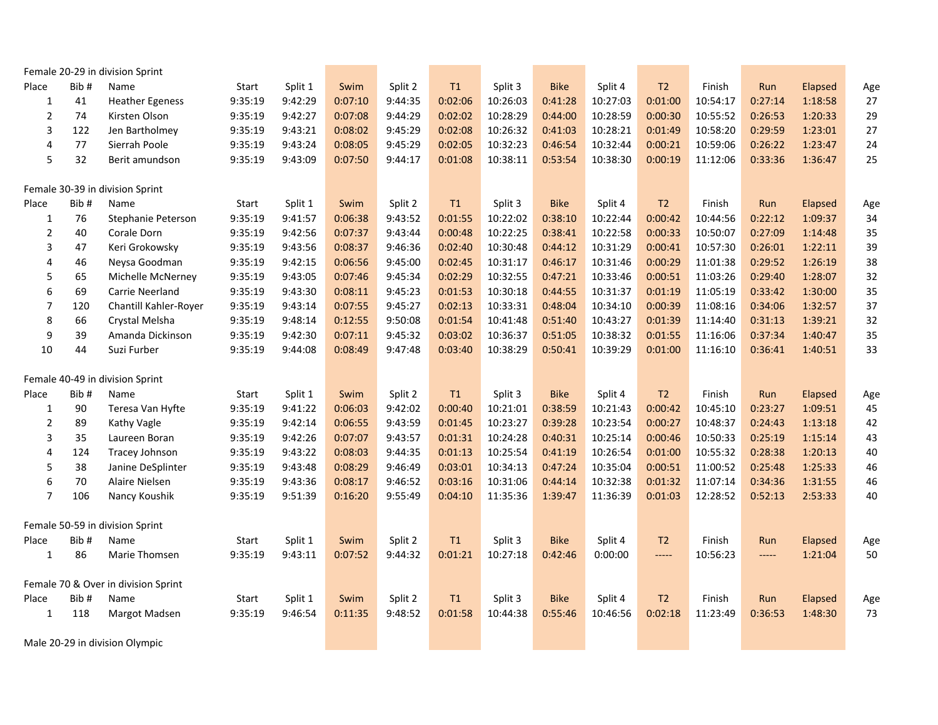|                                 |      | Female 20-29 in division Sprint     |         |         |         |         |               |          |             |          |                                 |          |         |         |        |
|---------------------------------|------|-------------------------------------|---------|---------|---------|---------|---------------|----------|-------------|----------|---------------------------------|----------|---------|---------|--------|
| Place                           | Bib# | Name                                | Start   | Split 1 | Swim    | Split 2 | $\mathsf{T}1$ | Split 3  | <b>Bike</b> | Split 4  | T2                              | Finish   | Run     | Elapsed | Age    |
| $\mathbf 1$                     | 41   | <b>Heather Egeness</b>              | 9:35:19 | 9:42:29 | 0:07:10 | 9:44:35 | 0:02:06       | 10:26:03 | 0:41:28     | 10:27:03 | 0:01:00                         | 10:54:17 | 0:27:14 | 1:18:58 | 27     |
| $\mathbf 2$                     | 74   | Kirsten Olson                       | 9:35:19 | 9:42:27 | 0:07:08 | 9:44:29 | 0:02:02       | 10:28:29 | 0:44:00     | 10:28:59 | 0:00:30                         | 10:55:52 | 0:26:53 | 1:20:33 | 29     |
| 3                               | 122  | Jen Bartholmey                      | 9:35:19 | 9:43:21 | 0:08:02 | 9:45:29 | 0:02:08       | 10:26:32 | 0:41:03     | 10:28:21 | 0:01:49                         | 10:58:20 | 0:29:59 | 1:23:01 | 27     |
| 4                               | 77   | Sierrah Poole                       | 9:35:19 | 9:43:24 | 0:08:05 | 9:45:29 | 0:02:05       | 10:32:23 | 0:46:54     | 10:32:44 | 0:00:21                         | 10:59:06 | 0:26:22 | 1:23:47 | 24     |
| 5                               | 32   | Berit amundson                      | 9:35:19 | 9:43:09 | 0:07:50 | 9:44:17 | 0:01:08       | 10:38:11 | 0:53:54     | 10:38:30 | 0:00:19                         | 11:12:06 | 0:33:36 | 1:36:47 | 25     |
| Female 30-39 in division Sprint |      |                                     |         |         |         |         |               |          |             |          |                                 |          |         |         |        |
| Place                           | Bib# | Name                                | Start   | Split 1 | Swim    | Split 2 | T1            | Split 3  | <b>Bike</b> | Split 4  | T <sub>2</sub>                  | Finish   | Run     | Elapsed | Age    |
| $\mathbf{1}$                    | 76   | Stephanie Peterson                  | 9:35:19 | 9:41:57 | 0:06:38 | 9:43:52 | 0:01:55       | 10:22:02 | 0:38:10     | 10:22:44 | 0:00:42                         | 10:44:56 | 0:22:12 | 1:09:37 | 34     |
| $\mathbf 2$                     | 40   | Corale Dorn                         | 9:35:19 | 9:42:56 | 0:07:37 | 9:43:44 | 0:00:48       | 10:22:25 | 0:38:41     | 10:22:58 | 0:00:33                         | 10:50:07 | 0:27:09 | 1:14:48 | 35     |
| 3                               | 47   | Keri Grokowsky                      | 9:35:19 | 9:43:56 | 0:08:37 | 9:46:36 | 0:02:40       | 10:30:48 | 0:44:12     | 10:31:29 | 0:00:41                         | 10:57:30 | 0:26:01 | 1:22:11 | 39     |
| 4                               | 46   | Neysa Goodman                       | 9:35:19 | 9:42:15 | 0:06:56 | 9:45:00 | 0:02:45       | 10:31:17 | 0:46:17     | 10:31:46 | 0:00:29                         | 11:01:38 | 0:29:52 | 1:26:19 | 38     |
| 5                               | 65   | Michelle McNerney                   | 9:35:19 | 9:43:05 | 0:07:46 | 9:45:34 | 0:02:29       | 10:32:55 | 0:47:21     | 10:33:46 | 0:00:51                         | 11:03:26 | 0:29:40 | 1:28:07 | 32     |
| 6                               | 69   | <b>Carrie Neerland</b>              | 9:35:19 | 9:43:30 | 0:08:11 | 9:45:23 | 0:01:53       | 10:30:18 | 0:44:55     | 10:31:37 | 0:01:19                         | 11:05:19 | 0:33:42 | 1:30:00 | 35     |
| $\overline{\phantom{a}}$        | 120  | Chantill Kahler-Royer               | 9:35:19 | 9:43:14 | 0:07:55 | 9:45:27 | 0:02:13       | 10:33:31 | 0:48:04     | 10:34:10 | 0:00:39                         | 11:08:16 | 0:34:06 | 1:32:57 | 37     |
| 8                               | 66   | Crystal Melsha                      | 9:35:19 | 9:48:14 | 0:12:55 | 9:50:08 | 0:01:54       | 10:41:48 | 0:51:40     | 10:43:27 | 0:01:39                         | 11:14:40 | 0:31:13 | 1:39:21 | 32     |
| 9                               | 39   | Amanda Dickinson                    | 9:35:19 | 9:42:30 | 0:07:11 | 9:45:32 | 0:03:02       | 10:36:37 | 0:51:05     | 10:38:32 | 0:01:55                         | 11:16:06 | 0:37:34 | 1:40:47 | 35     |
| 10                              | 44   | Suzi Furber                         | 9:35:19 | 9:44:08 | 0:08:49 | 9:47:48 | 0:03:40       | 10:38:29 | 0:50:41     | 10:39:29 | 0:01:00                         | 11:16:10 | 0:36:41 | 1:40:51 | 33     |
| Female 40-49 in division Sprint |      |                                     |         |         |         |         |               |          |             |          |                                 |          |         |         |        |
| Place                           | Bib# | Name                                | Start   | Split 1 | Swim    | Split 2 | T1            | Split 3  | <b>Bike</b> | Split 4  | T <sub>2</sub>                  | Finish   | Run     | Elapsed | Age    |
| $\mathbf 1$                     | 90   | Teresa Van Hyfte                    | 9:35:19 | 9:41:22 | 0:06:03 | 9:42:02 | 0:00:40       | 10:21:01 | 0:38:59     | 10:21:43 | 0:00:42                         | 10:45:10 | 0:23:27 | 1:09:51 | 45     |
| $\mathbf 2$                     | 89   | Kathy Vagle                         | 9:35:19 | 9:42:14 | 0:06:55 | 9:43:59 | 0:01:45       | 10:23:27 | 0:39:28     | 10:23:54 | 0:00:27                         | 10:48:37 | 0:24:43 | 1:13:18 | 42     |
| 3                               | 35   | Laureen Boran                       | 9:35:19 | 9:42:26 | 0:07:07 | 9:43:57 | 0:01:31       | 10:24:28 | 0:40:31     | 10:25:14 | 0:00:46                         | 10:50:33 | 0:25:19 | 1:15:14 | 43     |
| 4                               | 124  | Tracey Johnson                      | 9:35:19 | 9:43:22 | 0:08:03 | 9:44:35 | 0:01:13       | 10:25:54 | 0:41:19     | 10:26:54 | 0:01:00                         | 10:55:32 | 0:28:38 | 1:20:13 | $40\,$ |
| 5                               | 38   | Janine DeSplinter                   | 9:35:19 | 9:43:48 | 0:08:29 | 9:46:49 | 0:03:01       | 10:34:13 | 0:47:24     | 10:35:04 | 0:00:51                         | 11:00:52 | 0:25:48 | 1:25:33 | 46     |
| 6                               | 70   | Alaire Nielsen                      | 9:35:19 | 9:43:36 | 0:08:17 | 9:46:52 | 0:03:16       | 10:31:06 | 0:44:14     | 10:32:38 | 0:01:32                         | 11:07:14 | 0:34:36 | 1:31:55 | 46     |
| $\overline{7}$                  | 106  | Nancy Koushik                       | 9:35:19 | 9:51:39 | 0:16:20 | 9:55:49 | 0:04:10       | 11:35:36 | 1:39:47     | 11:36:39 | 0:01:03                         | 12:28:52 | 0:52:13 | 2:53:33 | 40     |
|                                 |      | Female 50-59 in division Sprint     |         |         |         |         |               |          |             |          |                                 |          |         |         |        |
| Place                           | Bib# | Name                                | Start   | Split 1 | Swim    | Split 2 | T1            | Split 3  | <b>Bike</b> | Split 4  | T <sub>2</sub>                  | Finish   | Run     | Elapsed | Age    |
| $\mathbf{1}$                    | 86   | Marie Thomsen                       | 9:35:19 | 9:43:11 | 0:07:52 | 9:44:32 | 0:01:21       | 10:27:18 | 0:42:46     | 0:00:00  | $\hspace{2.5cm} \textbf{-----}$ | 10:56:23 | -----   | 1:21:04 | 50     |
|                                 |      | Female 70 & Over in division Sprint |         |         |         |         |               |          |             |          |                                 |          |         |         |        |
| Place                           | Bib# | Name                                | Start   | Split 1 | Swim    | Split 2 | $\mathsf{T}1$ | Split 3  | <b>Bike</b> | Split 4  | T <sub>2</sub>                  | Finish   | Run     | Elapsed | Age    |
| $\mathbf{1}$                    | 118  | Margot Madsen                       | 9:35:19 | 9:46:54 | 0:11:35 | 9:48:52 | 0:01:58       | 10:44:38 | 0:55:46     | 10:46:56 | 0:02:18                         | 11:23:49 | 0:36:53 | 1:48:30 | 73     |
| Male 20-29 in division Olympic  |      |                                     |         |         |         |         |               |          |             |          |                                 |          |         |         |        |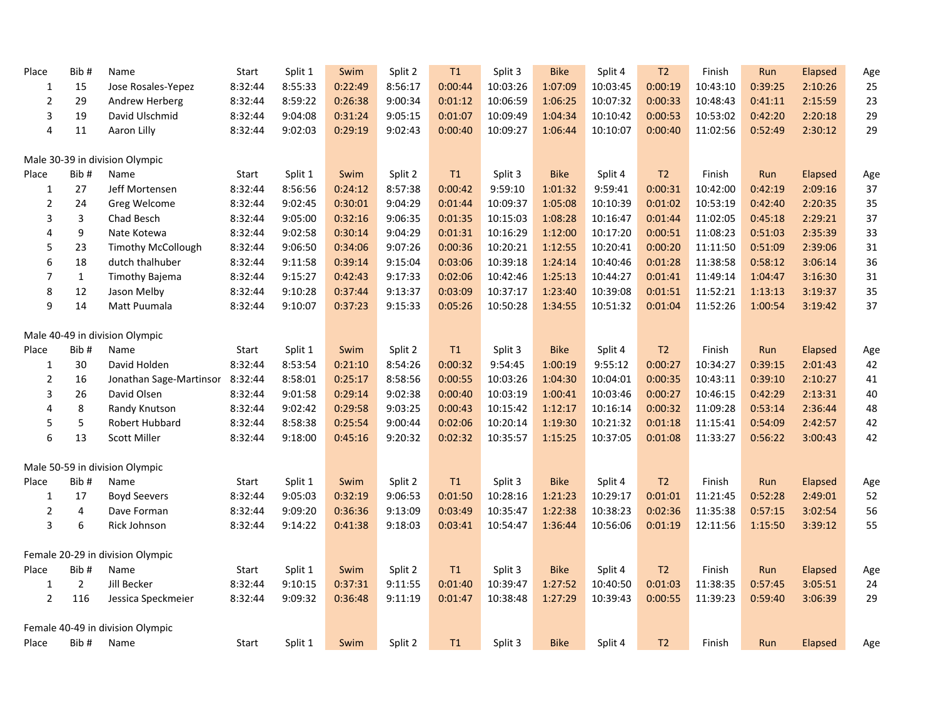| Place          | Bib#           | Name                             | Start   | Split 1 | Swim    | Split 2 | T1            | Split 3  | <b>Bike</b> | Split 4  | T <sub>2</sub> | Finish   | Run     | Elapsed | Age |
|----------------|----------------|----------------------------------|---------|---------|---------|---------|---------------|----------|-------------|----------|----------------|----------|---------|---------|-----|
| $\mathbf{1}$   | 15             | Jose Rosales-Yepez               | 8:32:44 | 8:55:33 | 0:22:49 | 8:56:17 | 0:00:44       | 10:03:26 | 1:07:09     | 10:03:45 | 0:00:19        | 10:43:10 | 0:39:25 | 2:10:26 | 25  |
| $\overline{2}$ | 29             | Andrew Herberg                   | 8:32:44 | 8:59:22 | 0:26:38 | 9:00:34 | 0:01:12       | 10:06:59 | 1:06:25     | 10:07:32 | 0:00:33        | 10:48:43 | 0:41:11 | 2:15:59 | 23  |
| 3              | 19             | David Ulschmid                   | 8:32:44 | 9:04:08 | 0:31:24 | 9:05:15 | 0:01:07       | 10:09:49 | 1:04:34     | 10:10:42 | 0:00:53        | 10:53:02 | 0:42:20 | 2:20:18 | 29  |
| 4              | 11             | Aaron Lilly                      | 8:32:44 | 9:02:03 | 0:29:19 | 9:02:43 | 0:00:40       | 10:09:27 | 1:06:44     | 10:10:07 | 0:00:40        | 11:02:56 | 0:52:49 | 2:30:12 | 29  |
|                |                | Male 30-39 in division Olympic   |         |         |         |         |               |          |             |          |                |          |         |         |     |
| Place          | Bib#           | Name                             | Start   | Split 1 | Swim    | Split 2 | T1            | Split 3  | <b>Bike</b> | Split 4  | T <sub>2</sub> | Finish   | Run     | Elapsed | Age |
| $\mathbf{1}$   | 27             | Jeff Mortensen                   | 8:32:44 | 8:56:56 | 0:24:12 | 8:57:38 | 0:00:42       | 9:59:10  | 1:01:32     | 9:59:41  | 0:00:31        | 10:42:00 | 0:42:19 | 2:09:16 | 37  |
| $\mathbf 2$    | 24             | Greg Welcome                     | 8:32:44 | 9:02:45 | 0:30:01 | 9:04:29 | 0:01:44       | 10:09:37 | 1:05:08     | 10:10:39 | 0:01:02        | 10:53:19 | 0:42:40 | 2:20:35 | 35  |
| 3              | 3              | Chad Besch                       | 8:32:44 | 9:05:00 | 0:32:16 | 9:06:35 | 0:01:35       | 10:15:03 | 1:08:28     | 10:16:47 | 0:01:44        | 11:02:05 | 0:45:18 | 2:29:21 | 37  |
| 4              | 9              | Nate Kotewa                      | 8:32:44 | 9:02:58 | 0:30:14 | 9:04:29 | 0:01:31       | 10:16:29 | 1:12:00     | 10:17:20 | 0:00:51        | 11:08:23 | 0:51:03 | 2:35:39 | 33  |
| 5              | 23             | <b>Timothy McCollough</b>        | 8:32:44 | 9:06:50 | 0:34:06 | 9:07:26 | 0:00:36       | 10:20:21 | 1:12:55     | 10:20:41 | 0:00:20        | 11:11:50 | 0:51:09 | 2:39:06 | 31  |
| 6              | 18             | dutch thalhuber                  | 8:32:44 | 9:11:58 | 0:39:14 | 9:15:04 | 0:03:06       | 10:39:18 | 1:24:14     | 10:40:46 | 0:01:28        | 11:38:58 | 0:58:12 | 3:06:14 | 36  |
| $\overline{7}$ | $\mathbf{1}$   | <b>Timothy Bajema</b>            | 8:32:44 | 9:15:27 | 0:42:43 | 9:17:33 | 0:02:06       | 10:42:46 | 1:25:13     | 10:44:27 | 0:01:41        | 11:49:14 | 1:04:47 | 3:16:30 | 31  |
| 8              | 12             | Jason Melby                      | 8:32:44 | 9:10:28 | 0:37:44 | 9:13:37 | 0:03:09       | 10:37:17 | 1:23:40     | 10:39:08 | 0:01:51        | 11:52:21 | 1:13:13 | 3:19:37 | 35  |
| 9              | 14             | Matt Puumala                     | 8:32:44 | 9:10:07 | 0:37:23 | 9:15:33 | 0:05:26       | 10:50:28 | 1:34:55     | 10:51:32 | 0:01:04        | 11:52:26 | 1:00:54 | 3:19:42 | 37  |
|                |                | Male 40-49 in division Olympic   |         |         |         |         |               |          |             |          |                |          |         |         |     |
| Place          | Bib#           | Name                             | Start   | Split 1 | Swim    | Split 2 | $\mathsf{T}1$ | Split 3  | <b>Bike</b> | Split 4  | T2             | Finish   | Run     | Elapsed | Age |
| $\mathbf{1}$   | 30             | David Holden                     | 8:32:44 | 8:53:54 | 0:21:10 | 8:54:26 | 0:00:32       | 9:54:45  | 1:00:19     | 9:55:12  | 0:00:27        | 10:34:27 | 0:39:15 | 2:01:43 | 42  |
| $\overline{2}$ | 16             | Jonathan Sage-Martinsor          | 8:32:44 | 8:58:01 | 0:25:17 | 8:58:56 | 0:00:55       | 10:03:26 | 1:04:30     | 10:04:01 | 0:00:35        | 10:43:11 | 0:39:10 | 2:10:27 | 41  |
| 3              | 26             | David Olsen                      | 8:32:44 | 9:01:58 | 0:29:14 | 9:02:38 | 0:00:40       | 10:03:19 | 1:00:41     | 10:03:46 | 0:00:27        | 10:46:15 | 0:42:29 | 2:13:31 | 40  |
| 4              | 8              | Randy Knutson                    | 8:32:44 | 9:02:42 | 0:29:58 | 9:03:25 | 0:00:43       | 10:15:42 | 1:12:17     | 10:16:14 | 0:00:32        | 11:09:28 | 0:53:14 | 2:36:44 | 48  |
| 5              | 5              | Robert Hubbard                   | 8:32:44 | 8:58:38 | 0:25:54 | 9:00:44 | 0:02:06       | 10:20:14 | 1:19:30     | 10:21:32 | 0:01:18        | 11:15:41 | 0:54:09 | 2:42:57 | 42  |
| 6              | 13             | <b>Scott Miller</b>              | 8:32:44 | 9:18:00 | 0:45:16 | 9:20:32 | 0:02:32       | 10:35:57 | 1:15:25     | 10:37:05 | 0:01:08        | 11:33:27 | 0:56:22 | 3:00:43 | 42  |
|                |                | Male 50-59 in division Olympic   |         |         |         |         |               |          |             |          |                |          |         |         |     |
| Place          | Bib#           | Name                             | Start   | Split 1 | Swim    | Split 2 | T1            | Split 3  | <b>Bike</b> | Split 4  | T <sub>2</sub> | Finish   | Run     | Elapsed | Age |
| 1              | 17             | <b>Boyd Seevers</b>              | 8:32:44 | 9:05:03 | 0:32:19 | 9:06:53 | 0:01:50       | 10:28:16 | 1:21:23     | 10:29:17 | 0:01:01        | 11:21:45 | 0:52:28 | 2:49:01 | 52  |
| $\overline{2}$ | 4              | Dave Forman                      | 8:32:44 | 9:09:20 | 0:36:36 | 9:13:09 | 0:03:49       | 10:35:47 | 1:22:38     | 10:38:23 | 0:02:36        | 11:35:38 | 0:57:15 | 3:02:54 | 56  |
| 3              | 6              | Rick Johnson                     | 8:32:44 | 9:14:22 | 0:41:38 | 9:18:03 | 0:03:41       | 10:54:47 | 1:36:44     | 10:56:06 | 0:01:19        | 12:11:56 | 1:15:50 | 3:39:12 | 55  |
|                |                | Female 20-29 in division Olympic |         |         |         |         |               |          |             |          |                |          |         |         |     |
| Place          | Bib#           | Name                             | Start   | Split 1 | Swim    | Split 2 | T1            | Split 3  | <b>Bike</b> | Split 4  | T2             | Finish   | Run     | Elapsed | Age |
| $\mathbf{1}$   | $\overline{2}$ | Jill Becker                      | 8:32:44 | 9:10:15 | 0:37:31 | 9:11:55 | 0:01:40       | 10:39:47 | 1:27:52     | 10:40:50 | 0:01:03        | 11:38:35 | 0:57:45 | 3:05:51 | 24  |
| $\overline{2}$ | 116            | Jessica Speckmeier               | 8:32:44 | 9:09:32 | 0:36:48 | 9:11:19 | 0:01:47       | 10:38:48 | 1:27:29     | 10:39:43 | 0:00:55        | 11:39:23 | 0:59:40 | 3:06:39 | 29  |
|                |                | Female 40-49 in division Olympic |         |         |         |         |               |          |             |          |                |          |         |         |     |
| Place          | Bib#           | Name                             | Start   | Split 1 | Swim    | Split 2 | T1            | Split 3  | <b>Bike</b> | Split 4  | T <sub>2</sub> | Finish   | Run     | Elapsed | Age |